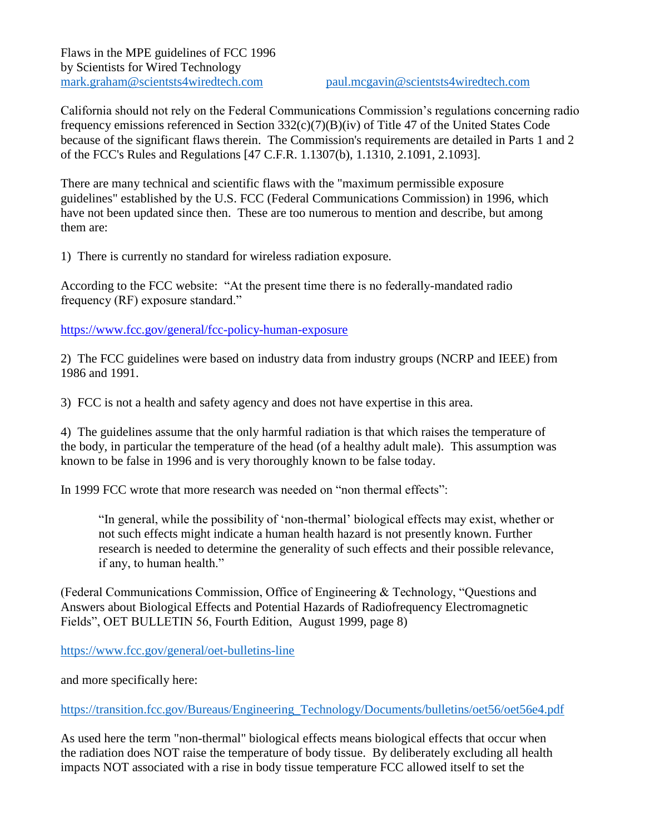California should not rely on the Federal Communications Commission's regulations concerning radio frequency emissions referenced in Section 332(c)(7)(B)(iv) of Title 47 of the United States Code because of the significant flaws therein. The Commission's requirements are detailed in Parts 1 and 2 of the FCC's Rules and Regulations [47 C.F.R. 1.1307(b), 1.1310, 2.1091, 2.1093].

There are many technical and scientific flaws with the "maximum permissible exposure guidelines" established by the U.S. FCC (Federal Communications Commission) in 1996, which have not been updated since then. These are too numerous to mention and describe, but among them are:

1) There is currently no standard for wireless radiation exposure.

According to the FCC website: "At the present time there is no federally-mandated radio frequency (RF) exposure standard."

<https://www.fcc.gov/general/fcc-policy-human-exposure>

2) The FCC guidelines were based on industry data from industry groups (NCRP and IEEE) from 1986 and 1991.

3) FCC is not a health and safety agency and does not have expertise in this area.

4) The guidelines assume that the only harmful radiation is that which raises the temperature of the body, in particular the temperature of the head (of a healthy adult male). This assumption was known to be false in 1996 and is very thoroughly known to be false today.

In 1999 FCC wrote that more research was needed on "non thermal effects":

"In general, while the possibility of 'non-thermal' biological effects may exist, whether or not such effects might indicate a human health hazard is not presently known. Further research is needed to determine the generality of such effects and their possible relevance, if any, to human health."

(Federal Communications Commission, Office of Engineering & Technology, "Questions and Answers about Biological Effects and Potential Hazards of Radiofrequency Electromagnetic Fields", OET BULLETIN 56, Fourth Edition, August 1999, page 8)

<https://www.fcc.gov/general/oet-bulletins-line>

and more specifically here:

[https://transition.fcc.gov/Bureaus/Engineering\\_Technology/Documents/bulletins/oet56/oet56e4.pdf](https://transition.fcc.gov/Bureaus/Engineering_Technology/Documents/bulletins/oet56/oet56e4.pdf)

As used here the term "non-thermal" biological effects means biological effects that occur when the radiation does NOT raise the temperature of body tissue. By deliberately excluding all health impacts NOT associated with a rise in body tissue temperature FCC allowed itself to set the